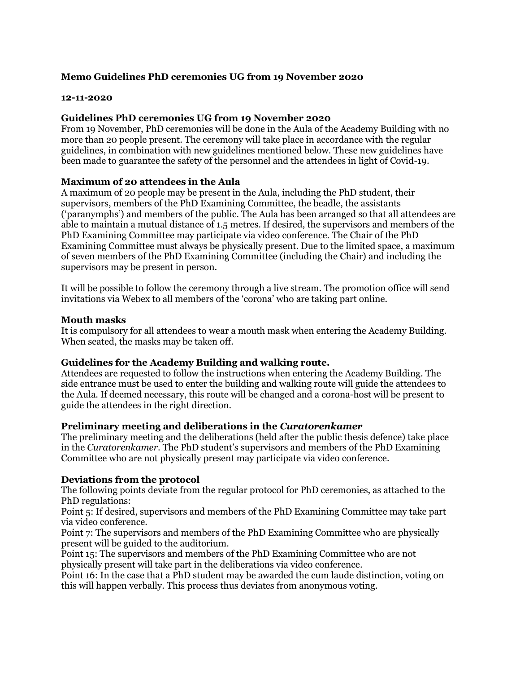# **Memo Guidelines PhD ceremonies UG from 19 November 2020**

### **12-11-2020**

### **Guidelines PhD ceremonies UG from 19 November 2020**

From 19 November, PhD ceremonies will be done in the Aula of the Academy Building with no more than 20 people present. The ceremony will take place in accordance with the regular guidelines, in combination with new guidelines mentioned below. These new guidelines have been made to guarantee the safety of the personnel and the attendees in light of Covid-19.

## **Maximum of 20 attendees in the Aula**

A maximum of 20 people may be present in the Aula, including the PhD student, their supervisors, members of the PhD Examining Committee, the beadle, the assistants ('paranymphs') and members of the public. The Aula has been arranged so that all attendees are able to maintain a mutual distance of 1.5 metres. If desired, the supervisors and members of the PhD Examining Committee may participate via video conference. The Chair of the PhD Examining Committee must always be physically present. Due to the limited space, a maximum of seven members of the PhD Examining Committee (including the Chair) and including the supervisors may be present in person.

It will be possible to follow the ceremony through a live stream. The promotion office will send invitations via Webex to all members of the 'corona' who are taking part online.

### **Mouth masks**

It is compulsory for all attendees to wear a mouth mask when entering the Academy Building. When seated, the masks may be taken off.

### **Guidelines for the Academy Building and walking route.**

Attendees are requested to follow the instructions when entering the Academy Building. The side entrance must be used to enter the building and walking route will guide the attendees to the Aula. If deemed necessary, this route will be changed and a corona-host will be present to guide the attendees in the right direction.

### **Preliminary meeting and deliberations in the** *Curatorenkamer*

The preliminary meeting and the deliberations (held after the public thesis defence) take place in the *Curatorenkamer*. The PhD student's supervisors and members of the PhD Examining Committee who are not physically present may participate via video conference.

### **Deviations from the protocol**

The following points deviate from the regular protocol for PhD ceremonies, as attached to the PhD regulations:

Point 5: If desired, supervisors and members of the PhD Examining Committee may take part via video conference.

Point 7: The supervisors and members of the PhD Examining Committee who are physically present will be guided to the auditorium.

Point 15: The supervisors and members of the PhD Examining Committee who are not physically present will take part in the deliberations via video conference.

Point 16: In the case that a PhD student may be awarded the cum laude distinction, voting on this will happen verbally. This process thus deviates from anonymous voting.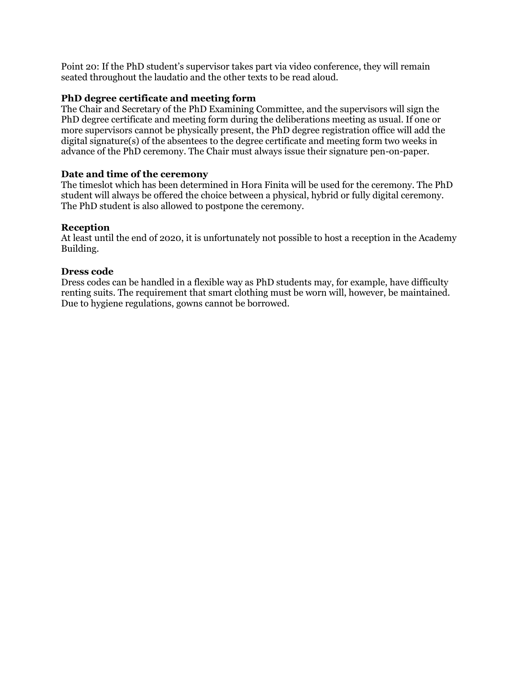Point 20: If the PhD student's supervisor takes part via video conference, they will remain seated throughout the laudatio and the other texts to be read aloud.

# **PhD degree certificate and meeting form**

The Chair and Secretary of the PhD Examining Committee, and the supervisors will sign the PhD degree certificate and meeting form during the deliberations meeting as usual. If one or more supervisors cannot be physically present, the PhD degree registration office will add the digital signature(s) of the absentees to the degree certificate and meeting form two weeks in advance of the PhD ceremony. The Chair must always issue their signature pen-on-paper.

# **Date and time of the ceremony**

The timeslot which has been determined in Hora Finita will be used for the ceremony. The PhD student will always be offered the choice between a physical, hybrid or fully digital ceremony. The PhD student is also allowed to postpone the ceremony.

# **Reception**

At least until the end of 2020, it is unfortunately not possible to host a reception in the Academy Building.

# **Dress code**

Dress codes can be handled in a flexible way as PhD students may, for example, have difficulty renting suits. The requirement that smart clothing must be worn will, however, be maintained. Due to hygiene regulations, gowns cannot be borrowed.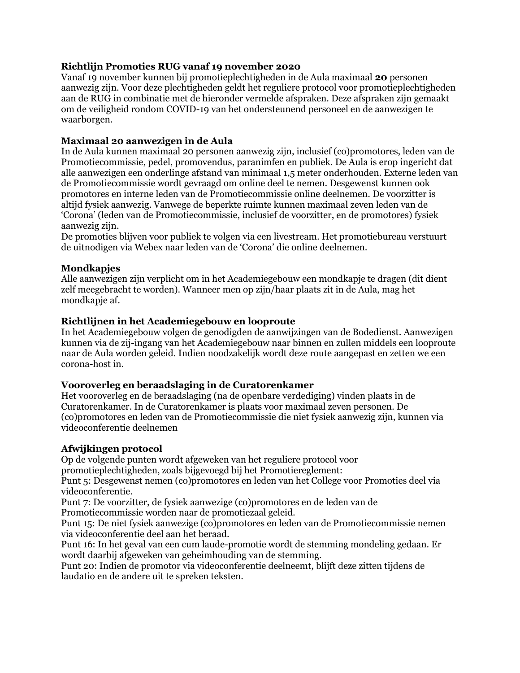# **Richtlijn Promoties RUG vanaf 19 november 2020**

Vanaf 19 november kunnen bij promotieplechtigheden in de Aula maximaal **20** personen aanwezig zijn. Voor deze plechtigheden geldt het reguliere protocol voor promotieplechtigheden aan de RUG in combinatie met de hieronder vermelde afspraken. Deze afspraken zijn gemaakt om de veiligheid rondom COVID-19 van het ondersteunend personeel en de aanwezigen te waarborgen.

# **Maximaal 20 aanwezigen in de Aula**

In de Aula kunnen maximaal 20 personen aanwezig zijn, inclusief (co)promotores, leden van de Promotiecommissie, pedel, promovendus, paranimfen en publiek. De Aula is erop ingericht dat alle aanwezigen een onderlinge afstand van minimaal 1,5 meter onderhouden. Externe leden van de Promotiecommissie wordt gevraagd om online deel te nemen. Desgewenst kunnen ook promotores en interne leden van de Promotiecommissie online deelnemen. De voorzitter is altijd fysiek aanwezig. Vanwege de beperkte ruimte kunnen maximaal zeven leden van de 'Corona' (leden van de Promotiecommissie, inclusief de voorzitter, en de promotores) fysiek aanwezig zijn.

De promoties blijven voor publiek te volgen via een livestream. Het promotiebureau verstuurt de uitnodigen via Webex naar leden van de 'Corona' die online deelnemen.

## **Mondkapjes**

Alle aanwezigen zijn verplicht om in het Academiegebouw een mondkapje te dragen (dit dient zelf meegebracht te worden). Wanneer men op zijn/haar plaats zit in de Aula, mag het mondkapje af.

## **Richtlijnen in het Academiegebouw en looproute**

In het Academiegebouw volgen de genodigden de aanwijzingen van de Bodedienst. Aanwezigen kunnen via de zij-ingang van het Academiegebouw naar binnen en zullen middels een looproute naar de Aula worden geleid. Indien noodzakelijk wordt deze route aangepast en zetten we een corona-host in.

### **Vooroverleg en beraadslaging in de Curatorenkamer**

Het vooroverleg en de beraadslaging (na de openbare verdediging) vinden plaats in de Curatorenkamer. In de Curatorenkamer is plaats voor maximaal zeven personen. De (co)promotores en leden van de Promotiecommissie die niet fysiek aanwezig zijn, kunnen via videoconferentie deelnemen

### **Afwijkingen protocol**

Op de volgende punten wordt afgeweken van het reguliere protocol voor

promotieplechtigheden, zoals bijgevoegd bij het Promotiereglement:

Punt 5: Desgewenst nemen (co)promotores en leden van het College voor Promoties deel via videoconferentie.

Punt 7: De voorzitter, de fysiek aanwezige (co)promotores en de leden van de Promotiecommissie worden naar de promotiezaal geleid.

Punt 15: De niet fysiek aanwezige (co)promotores en leden van de Promotiecommissie nemen via videoconferentie deel aan het beraad.

Punt 16: In het geval van een cum laude-promotie wordt de stemming mondeling gedaan. Er wordt daarbij afgeweken van geheimhouding van de stemming.

Punt 20: Indien de promotor via videoconferentie deelneemt, blijft deze zitten tijdens de laudatio en de andere uit te spreken teksten.